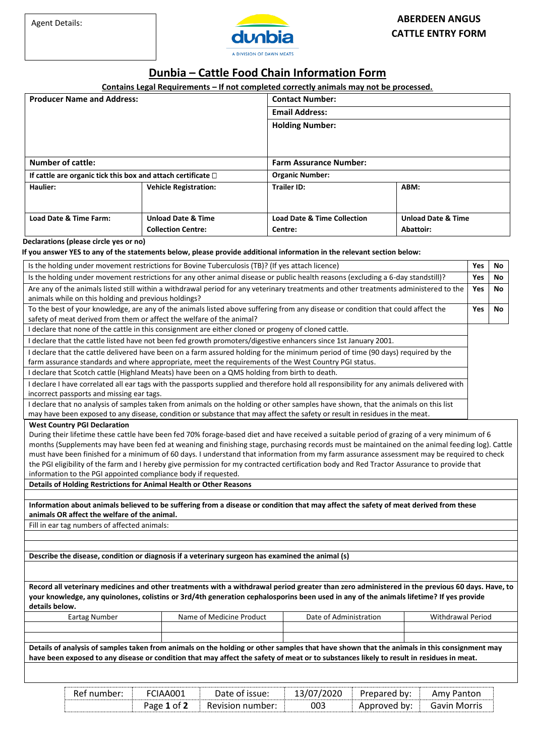

## **Dunbia – Cattle Food Chain Information Form**

## **Contains Legal Requirements – If not completed correctly animals may not be processed.**

| <b>Producer Name and Address:</b>                                    |                               | <b>Contact Number:</b>                 |                               |  |  |
|----------------------------------------------------------------------|-------------------------------|----------------------------------------|-------------------------------|--|--|
|                                                                      |                               | <b>Email Address:</b>                  |                               |  |  |
|                                                                      |                               | <b>Holding Number:</b>                 |                               |  |  |
|                                                                      |                               |                                        |                               |  |  |
|                                                                      |                               |                                        |                               |  |  |
| <b>Number of cattle:</b>                                             |                               | <b>Farm Assurance Number:</b>          |                               |  |  |
| If cattle are organic tick this box and attach certificate $\square$ |                               | <b>Organic Number:</b>                 |                               |  |  |
| Haulier:                                                             | <b>Vehicle Registration:</b>  | <b>Trailer ID:</b>                     | ABM:                          |  |  |
|                                                                      |                               |                                        |                               |  |  |
| Load Date & Time Farm:                                               | <b>Unload Date &amp; Time</b> | <b>Load Date &amp; Time Collection</b> | <b>Unload Date &amp; Time</b> |  |  |
|                                                                      | <b>Collection Centre:</b>     | Centre:                                | Abattoir:                     |  |  |

## **Declarations (please circle yes or no)**

## **If you answer YES to any of the statements below, please provide additional information in the relevant section below:**

| Is the holding under movement restrictions for Bovine Tuberculosis (TB)? (If yes attach licence)                                                                                                                                                                                                                                                                                                                                                                                                                                                                                                                                                              |            |    |  |  |  |  |
|---------------------------------------------------------------------------------------------------------------------------------------------------------------------------------------------------------------------------------------------------------------------------------------------------------------------------------------------------------------------------------------------------------------------------------------------------------------------------------------------------------------------------------------------------------------------------------------------------------------------------------------------------------------|------------|----|--|--|--|--|
| Is the holding under movement restrictions for any other animal disease or public health reasons (excluding a 6-day standstill)?                                                                                                                                                                                                                                                                                                                                                                                                                                                                                                                              | <b>Yes</b> | No |  |  |  |  |
| Are any of the animals listed still within a withdrawal period for any veterinary treatments and other treatments administered to the<br>animals while on this holding and previous holdings?                                                                                                                                                                                                                                                                                                                                                                                                                                                                 |            |    |  |  |  |  |
| To the best of your knowledge, are any of the animals listed above suffering from any disease or condition that could affect the<br>safety of meat derived from them or affect the welfare of the animal?                                                                                                                                                                                                                                                                                                                                                                                                                                                     |            |    |  |  |  |  |
| I declare that none of the cattle in this consignment are either cloned or progeny of cloned cattle.                                                                                                                                                                                                                                                                                                                                                                                                                                                                                                                                                          |            |    |  |  |  |  |
| I declare that the cattle listed have not been fed growth promoters/digestive enhancers since 1st January 2001.                                                                                                                                                                                                                                                                                                                                                                                                                                                                                                                                               |            |    |  |  |  |  |
| I declare that the cattle delivered have been on a farm assured holding for the minimum period of time (90 days) required by the<br>farm assurance standards and where appropriate, meet the requirements of the West Country PGI status.                                                                                                                                                                                                                                                                                                                                                                                                                     |            |    |  |  |  |  |
| I declare that Scotch cattle (Highland Meats) have been on a QMS holding from birth to death.                                                                                                                                                                                                                                                                                                                                                                                                                                                                                                                                                                 |            |    |  |  |  |  |
| I declare I have correlated all ear tags with the passports supplied and therefore hold all responsibility for any animals delivered with<br>incorrect passports and missing ear tags.                                                                                                                                                                                                                                                                                                                                                                                                                                                                        |            |    |  |  |  |  |
| I declare that no analysis of samples taken from animals on the holding or other samples have shown, that the animals on this list<br>may have been exposed to any disease, condition or substance that may affect the safety or result in residues in the meat.                                                                                                                                                                                                                                                                                                                                                                                              |            |    |  |  |  |  |
| During their lifetime these cattle have been fed 70% forage-based diet and have received a suitable period of grazing of a very minimum of 6<br>months (Supplements may have been fed at weaning and finishing stage, purchasing records must be maintained on the animal feeding log). Cattle<br>must have been finished for a minimum of 60 days. I understand that information from my farm assurance assessment may be required to check<br>the PGI eligibility of the farm and I hereby give permission for my contracted certification body and Red Tractor Assurance to provide that<br>information to the PGI appointed compliance body if requested. |            |    |  |  |  |  |
| Details of Holding Restrictions for Animal Health or Other Reasons                                                                                                                                                                                                                                                                                                                                                                                                                                                                                                                                                                                            |            |    |  |  |  |  |
|                                                                                                                                                                                                                                                                                                                                                                                                                                                                                                                                                                                                                                                               |            |    |  |  |  |  |
| Information about animals believed to be suffering from a disease or condition that may affect the safety of meat derived from these<br>animals OR affect the welfare of the animal.                                                                                                                                                                                                                                                                                                                                                                                                                                                                          |            |    |  |  |  |  |
| Fill in ear tag numbers of affected animals:                                                                                                                                                                                                                                                                                                                                                                                                                                                                                                                                                                                                                  |            |    |  |  |  |  |
|                                                                                                                                                                                                                                                                                                                                                                                                                                                                                                                                                                                                                                                               |            |    |  |  |  |  |
|                                                                                                                                                                                                                                                                                                                                                                                                                                                                                                                                                                                                                                                               |            |    |  |  |  |  |
| Describe the disease, condition or diagnosis if a veterinary surgeon has examined the animal (s)                                                                                                                                                                                                                                                                                                                                                                                                                                                                                                                                                              |            |    |  |  |  |  |
|                                                                                                                                                                                                                                                                                                                                                                                                                                                                                                                                                                                                                                                               |            |    |  |  |  |  |
| Record all veterinary medicines and other treatments with a withdrawal period greater than zero administered in the previous 60 days. Have, to<br>your knowledge, any quinolones, colistins or 3rd/4th generation cephalosporins been used in any of the animals lifetime? If yes provide<br>details below.                                                                                                                                                                                                                                                                                                                                                   |            |    |  |  |  |  |
| Name of Medicine Product<br>Date of Administration<br>Withdrawal Period<br><b>Eartag Number</b>                                                                                                                                                                                                                                                                                                                                                                                                                                                                                                                                                               |            |    |  |  |  |  |
| Details of analysis of samples taken from animals on the holding or other samples that have shown that the animals in this consignment may                                                                                                                                                                                                                                                                                                                                                                                                                                                                                                                    |            |    |  |  |  |  |

| FCIAA001<br>Ref number: |             | 13/07/2020<br>Date of issue: |     | Panton<br>Prepared by:<br>Amv |                     |
|-------------------------|-------------|------------------------------|-----|-------------------------------|---------------------|
|                         | Page 1 of 2 | Revision number:             | 003 | Approved by:                  | <b>Gavin Morris</b> |